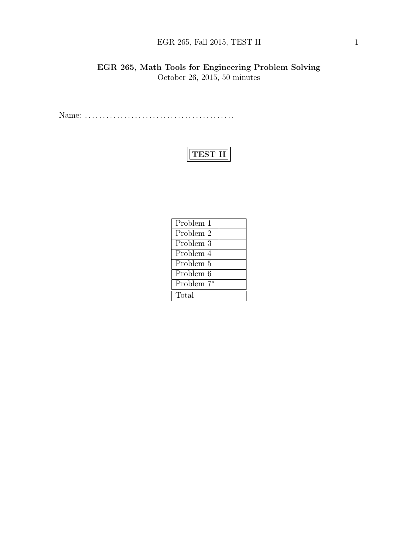# EGR 265, Fall 2015, TEST II  $1$

EGR 265, Math Tools for Engineering Problem Solving October 26, 2015, 50 minutes

Name: . . . . . . . . . . . . . . . . . . . . . . . . . . . . . . . . . . . . . . . . . .

# TEST II

| Problem 1              |  |
|------------------------|--|
| Problem 2              |  |
| Problem 3              |  |
| Problem 4              |  |
| Problem 5              |  |
| Problem 6              |  |
| Problem 7 <sup>*</sup> |  |
| Total                  |  |
|                        |  |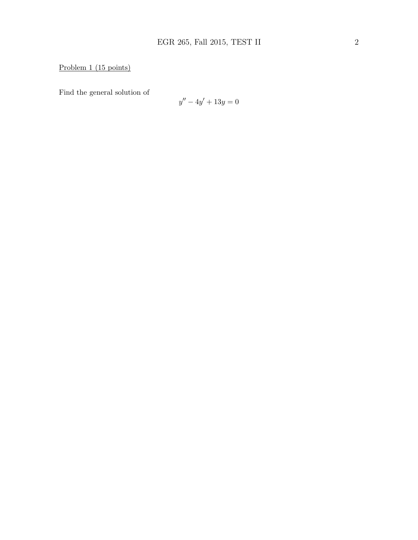# Problem 1 (15 points)

Find the general solution of

$$
y'' - 4y' + 13y = 0
$$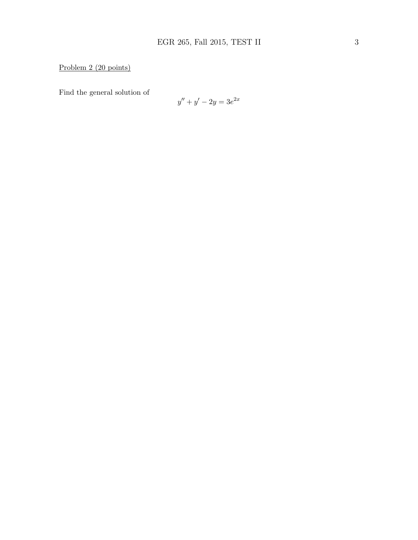### Problem 2 (20 points)

Find the general solution of

$$
y'' + y' - 2y = 3e^{2x}
$$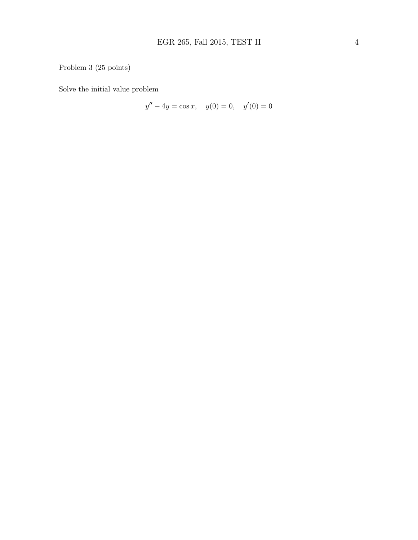### Problem 3 (25 points)

Solve the initial value problem

$$
y'' - 4y = \cos x, \quad y(0) = 0, \quad y'(0) = 0
$$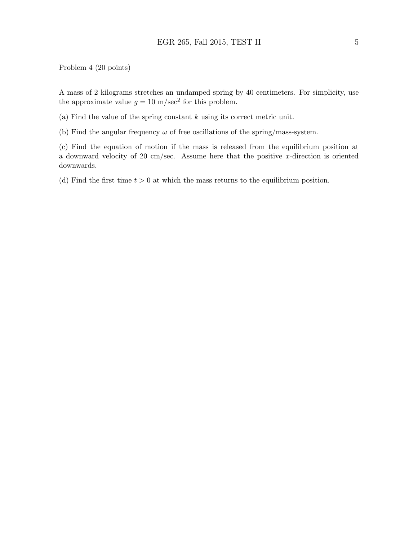#### Problem 4 (20 points)

A mass of 2 kilograms stretches an undamped spring by 40 centimeters. For simplicity, use the approximate value  $g = 10 \text{ m/sec}^2$  for this problem.

(a) Find the value of the spring constant  $k$  using its correct metric unit.

(b) Find the angular frequency  $\omega$  of free oscillations of the spring/mass-system.

(c) Find the equation of motion if the mass is released from the equilibrium position at a downward velocity of 20 cm/sec. Assume here that the positive x-direction is oriented downwards.

(d) Find the first time  $t > 0$  at which the mass returns to the equilibrium position.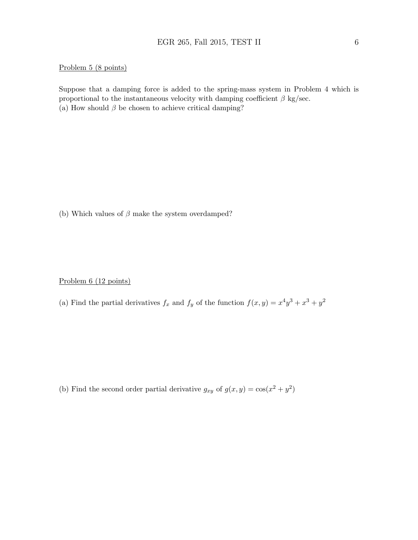#### Problem 5 (8 points)

Suppose that a damping force is added to the spring-mass system in Problem 4 which is proportional to the instantaneous velocity with damping coefficient  $\beta$  kg/sec. (a) How should  $\beta$  be chosen to achieve critical damping?

(b) Which values of  $\beta$  make the system overdamped?

Problem 6 (12 points)

(a) Find the partial derivatives  $f_x$  and  $f_y$  of the function  $f(x,y) = x^4y^3 + x^3 + y^2$ 

(b) Find the second order partial derivative  $g_{xy}$  of  $g(x, y) = \cos(x^2 + y^2)$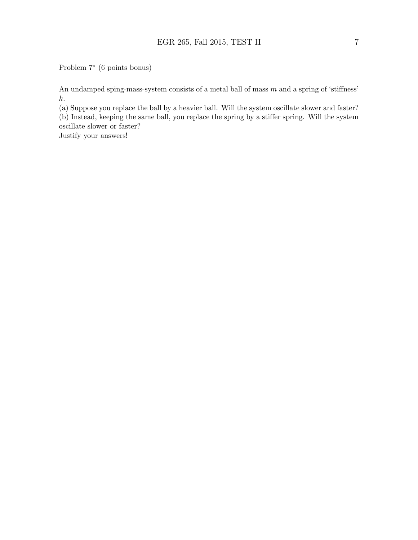#### Problem 7<sup>∗</sup> (6 points bonus)

An undamped sping-mass-system consists of a metal ball of mass m and a spring of 'stiffness' k.

(a) Suppose you replace the ball by a heavier ball. Will the system oscillate slower and faster? (b) Instead, keeping the same ball, you replace the spring by a stiffer spring. Will the system

oscillate slower or faster?

Justify your answers!